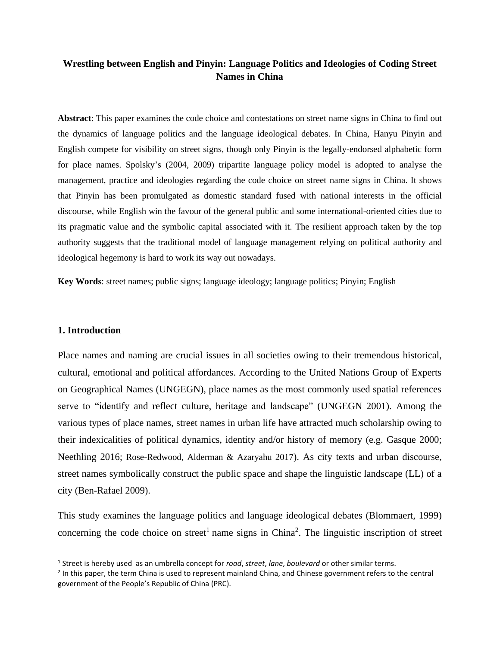# **Wrestling between English and Pinyin: Language Politics and Ideologies of Coding Street Names in China**

**Abstract**: This paper examines the code choice and contestations on street name signs in China to find out the dynamics of language politics and the language ideological debates. In China, Hanyu Pinyin and English compete for visibility on street signs, though only Pinyin is the legally-endorsed alphabetic form for place names. Spolsky's (2004, 2009) tripartite language policy model is adopted to analyse the management, practice and ideologies regarding the code choice on street name signs in China. It shows that Pinyin has been promulgated as domestic standard fused with national interests in the official discourse, while English win the favour of the general public and some international-oriented cities due to its pragmatic value and the symbolic capital associated with it. The resilient approach taken by the top authority suggests that the traditional model of language management relying on political authority and ideological hegemony is hard to work its way out nowadays.

**Key Words**: street names; public signs; language ideology; language politics; Pinyin; English

# **1. Introduction**

Place names and naming are crucial issues in all societies owing to their tremendous historical, cultural, emotional and political affordances. According to the United Nations Group of Experts on Geographical Names (UNGEGN), place names as the most commonly used spatial references serve to "identify and reflect culture, heritage and landscape" (UNGEGN 2001). Among the various types of place names, street names in urban life have attracted much scholarship owing to their indexicalities of political dynamics, identity and/or history of memory (e.g. Gasque 2000; Neethling 2016; Rose-Redwood, Alderman & Azaryahu 2017). As city texts and urban discourse, street names symbolically construct the public space and shape the linguistic landscape (LL) of a city (Ben-Rafael 2009).

This study examines the language politics and language ideological debates (Blommaert, 1999) concerning the code choice on street<sup>1</sup> name signs in China<sup>2</sup>. The linguistic inscription of street

<sup>1</sup> Street is hereby used as an umbrella concept for *road*, *street*, *lane*, *boulevard* or other similar terms.

<sup>&</sup>lt;sup>2</sup> In this paper, the term China is used to represent mainland China, and Chinese government refers to the central government of the People's Republic of China (PRC).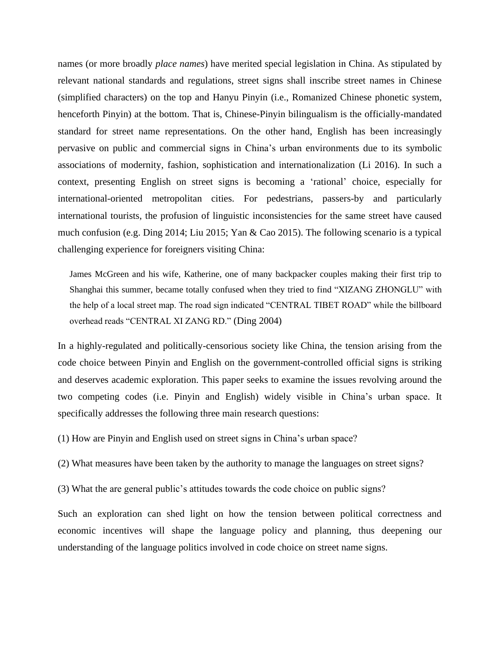names (or more broadly *place names*) have merited special legislation in China. As stipulated by relevant national standards and regulations, street signs shall inscribe street names in Chinese (simplified characters) on the top and Hanyu Pinyin (i.e., Romanized Chinese phonetic system, henceforth Pinyin) at the bottom. That is, Chinese-Pinyin bilingualism is the officially-mandated standard for street name representations. On the other hand, English has been increasingly pervasive on public and commercial signs in China's urban environments due to its symbolic associations of modernity, fashion, sophistication and internationalization (Li 2016). In such a context, presenting English on street signs is becoming a 'rational' choice, especially for international-oriented metropolitan cities. For pedestrians, passers-by and particularly international tourists, the profusion of linguistic inconsistencies for the same street have caused much confusion (e.g. Ding 2014; Liu 2015; Yan & Cao 2015). The following scenario is a typical challenging experience for foreigners visiting China:

James McGreen and his wife, Katherine, one of many backpacker couples making their first trip to Shanghai this summer, became totally confused when they tried to find "XIZANG ZHONGLU" with the help of a local street map. The road sign indicated "CENTRAL TIBET ROAD" while the billboard overhead reads "CENTRAL XI ZANG RD." (Ding 2004)

In a highly-regulated and politically-censorious society like China, the tension arising from the code choice between Pinyin and English on the government-controlled official signs is striking and deserves academic exploration. This paper seeks to examine the issues revolving around the two competing codes (i.e. Pinyin and English) widely visible in China's urban space. It specifically addresses the following three main research questions:

(1) How are Pinyin and English used on street signs in China's urban space?

(2) What measures have been taken by the authority to manage the languages on street signs?

(3) What the are general public's attitudes towards the code choice on public signs?

Such an exploration can shed light on how the tension between political correctness and economic incentives will shape the language policy and planning, thus deepening our understanding of the language politics involved in code choice on street name signs.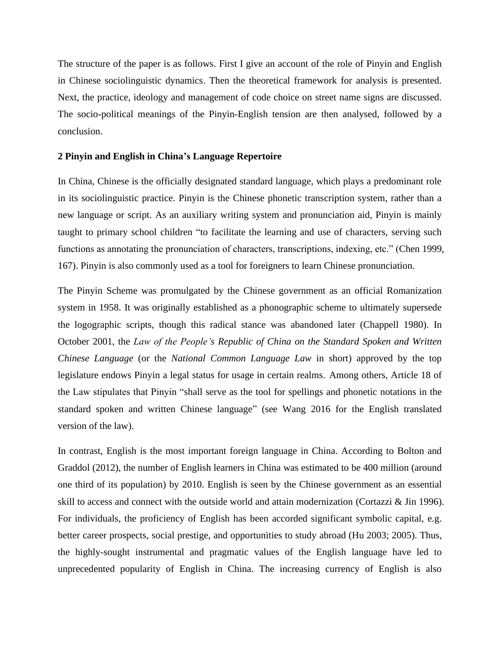The structure of the paper is as follows. First I give an account of the role of Pinyin and English in Chinese sociolinguistic dynamics. Then the theoretical framework for analysis is presented. Next, the practice, ideology and management of code choice on street name signs are discussed. The socio-political meanings of the Pinyin-English tension are then analysed, followed by a conclusion.

# **2 Pinyin and English in China's Language Repertoire**

In China, Chinese is the officially designated standard language, which plays a predominant role in its sociolinguistic practice. Pinyin is the Chinese phonetic transcription system, rather than a new language or script. As an auxiliary writing system and pronunciation aid, Pinyin is mainly taught to primary school children "to facilitate the learning and use of characters, serving such functions as annotating the pronunciation of characters, transcriptions, indexing, etc." (Chen 1999, 167). Pinyin is also commonly used as a tool for foreigners to learn Chinese pronunciation.

The Pinyin Scheme was promulgated by the Chinese government as an official Romanization system in 1958. It was originally established as a phonographic scheme to ultimately supersede the logographic scripts, though this radical stance was abandoned later (Chappell 1980). In October 2001, the *Law of the People's Republic of China on the Standard Spoken and Written Chinese Language* (or the *National Common Language Law* in short) approved by the top legislature endows Pinyin a legal status for usage in certain realms. Among others, Article 18 of the Law stipulates that Pinyin "shall serve as the tool for spellings and phonetic notations in the standard spoken and written Chinese language" (see Wang 2016 for the English translated version of the law).

In contrast, English is the most important foreign language in China. According to Bolton and Graddol (2012), the number of English learners in China was estimated to be 400 million (around one third of its population) by 2010. English is seen by the Chinese government as an essential skill to access and connect with the outside world and attain modernization (Cortazzi & Jin 1996). For individuals, the proficiency of English has been accorded significant symbolic capital, e.g. better career prospects, social prestige, and opportunities to study abroad (Hu 2003; 2005). Thus, the highly-sought instrumental and pragmatic values of the English language have led to unprecedented popularity of English in China. The increasing currency of English is also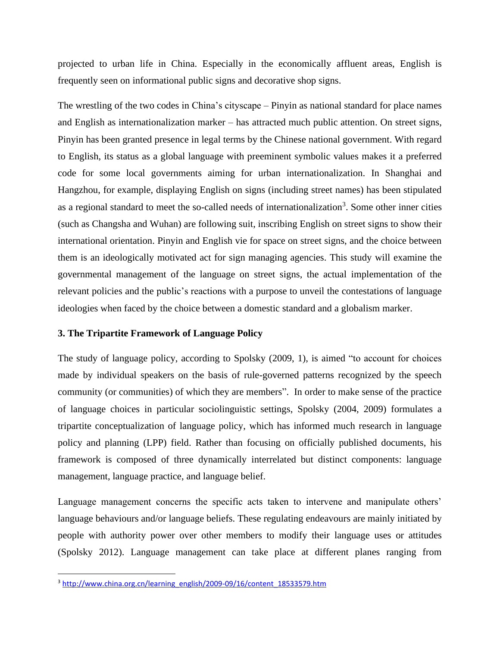projected to urban life in China. Especially in the economically affluent areas, English is frequently seen on informational public signs and decorative shop signs.

The wrestling of the two codes in China's cityscape – Pinyin as national standard for place names and English as internationalization marker – has attracted much public attention. On street signs, Pinyin has been granted presence in legal terms by the Chinese national government. With regard to English, its status as a global language with preeminent symbolic values makes it a preferred code for some local governments aiming for urban internationalization. In Shanghai and Hangzhou, for example, displaying English on signs (including street names) has been stipulated as a regional standard to meet the so-called needs of internationalization<sup>3</sup>. Some other inner cities (such as Changsha and Wuhan) are following suit, inscribing English on street signs to show their international orientation. Pinyin and English vie for space on street signs, and the choice between them is an ideologically motivated act for sign managing agencies. This study will examine the governmental management of the language on street signs, the actual implementation of the relevant policies and the public's reactions with a purpose to unveil the contestations of language ideologies when faced by the choice between a domestic standard and a globalism marker.

# **3. The Tripartite Framework of Language Policy**

The study of language policy, according to Spolsky (2009, 1), is aimed "to account for choices made by individual speakers on the basis of rule-governed patterns recognized by the speech community (or communities) of which they are members". In order to make sense of the practice of language choices in particular sociolinguistic settings, Spolsky (2004, 2009) formulates a tripartite conceptualization of language policy, which has informed much research in language policy and planning (LPP) field. Rather than focusing on officially published documents, his framework is composed of three dynamically interrelated but distinct components: language management, language practice, and language belief.

Language management concerns the specific acts taken to intervene and manipulate others' language behaviours and/or language beliefs. These regulating endeavours are mainly initiated by people with authority power over other members to modify their language uses or attitudes (Spolsky 2012). Language management can take place at different planes ranging from

<sup>&</sup>lt;sup>3</sup> [http://www.china.org.cn/learning\\_english/2009-09/16/content\\_18533579.htm](http://www.china.org.cn/learning_english/2009-09/16/content_18533579.htm)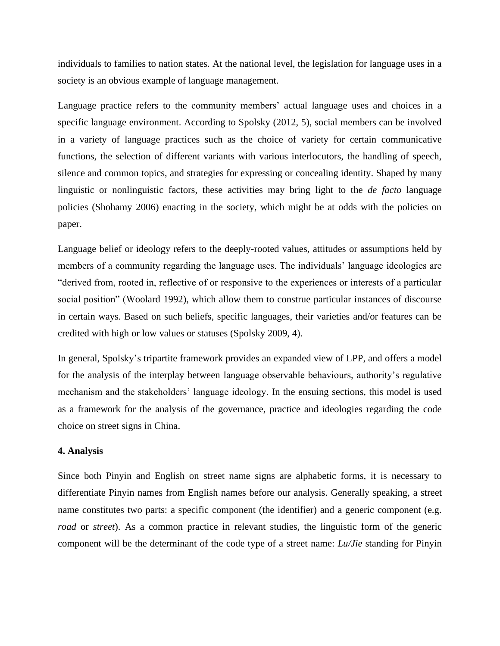individuals to families to nation states. At the national level, the legislation for language uses in a society is an obvious example of language management.

Language practice refers to the community members' actual language uses and choices in a specific language environment. According to Spolsky (2012, 5), social members can be involved in a variety of language practices such as the choice of variety for certain communicative functions, the selection of different variants with various interlocutors, the handling of speech, silence and common topics, and strategies for expressing or concealing identity. Shaped by many linguistic or nonlinguistic factors, these activities may bring light to the *de facto* language policies (Shohamy 2006) enacting in the society, which might be at odds with the policies on paper.

Language belief or ideology refers to the deeply-rooted values, attitudes or assumptions held by members of a community regarding the language uses. The individuals' language ideologies are "derived from, rooted in, reflective of or responsive to the experiences or interests of a particular social position" (Woolard 1992), which allow them to construe particular instances of discourse in certain ways. Based on such beliefs, specific languages, their varieties and/or features can be credited with high or low values or statuses (Spolsky 2009, 4).

In general, Spolsky's tripartite framework provides an expanded view of LPP, and offers a model for the analysis of the interplay between language observable behaviours, authority's regulative mechanism and the stakeholders' language ideology. In the ensuing sections, this model is used as a framework for the analysis of the governance, practice and ideologies regarding the code choice on street signs in China.

# **4. Analysis**

Since both Pinyin and English on street name signs are alphabetic forms, it is necessary to differentiate Pinyin names from English names before our analysis. Generally speaking, a street name constitutes two parts: a specific component (the identifier) and a generic component (e.g. *road* or *street*). As a common practice in relevant studies, the linguistic form of the generic component will be the determinant of the code type of a street name: *Lu/Jie* standing for Pinyin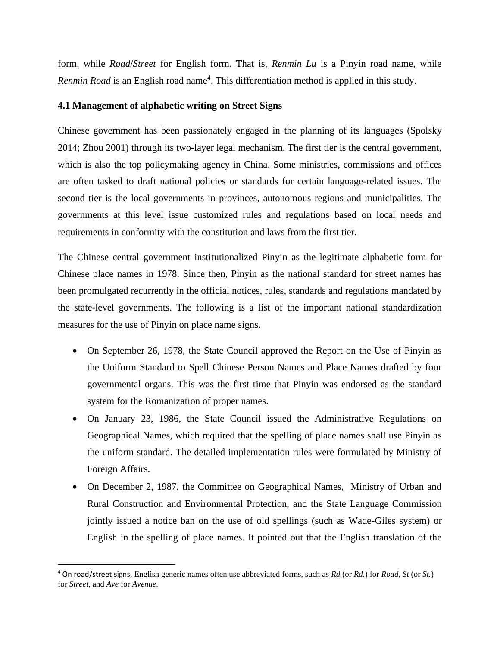form, while *Road*/*Street* for English form. That is, *Renmin Lu* is a Pinyin road name, while Renmin Road is an English road name<sup>4</sup>. This differentiation method is applied in this study.

# **4.1 Management of alphabetic writing on Street Signs**

Chinese government has been passionately engaged in the planning of its languages (Spolsky 2014; Zhou 2001) through its two-layer legal mechanism. The first tier is the central government, which is also the top policymaking agency in China. Some ministries, commissions and offices are often tasked to draft national policies or standards for certain language-related issues. The second tier is the local governments in provinces, autonomous regions and municipalities. The governments at this level issue customized rules and regulations based on local needs and requirements in conformity with the constitution and laws from the first tier.

The Chinese central government institutionalized Pinyin as the legitimate alphabetic form for Chinese place names in 1978. Since then, Pinyin as the national standard for street names has been promulgated recurrently in the official notices, rules, standards and regulations mandated by the state-level governments. The following is a list of the important national standardization measures for the use of Pinyin on place name signs.

- On September 26, 1978, the State Council approved the Report on the Use of Pinyin as the Uniform Standard to Spell Chinese Person Names and Place Names drafted by four governmental organs. This was the first time that Pinyin was endorsed as the standard system for the Romanization of proper names.
- On January 23, 1986, the State Council issued the Administrative Regulations on Geographical Names, which required that the spelling of place names shall use Pinyin as the uniform standard. The detailed implementation rules were formulated by Ministry of Foreign Affairs.
- On December 2, 1987, the Committee on Geographical Names, Ministry of Urban and Rural Construction and Environmental Protection, and the State Language Commission jointly issued a notice ban on the use of old spellings (such as Wade-Giles system) or English in the spelling of place names. It pointed out that the English translation of the

<sup>4</sup> On road/street signs, English generic names often use abbreviated forms, such as *Rd* (or *Rd.*) for *Road*, *St* (or *St.*) for *Street*, and *Ave* for *Avenue*.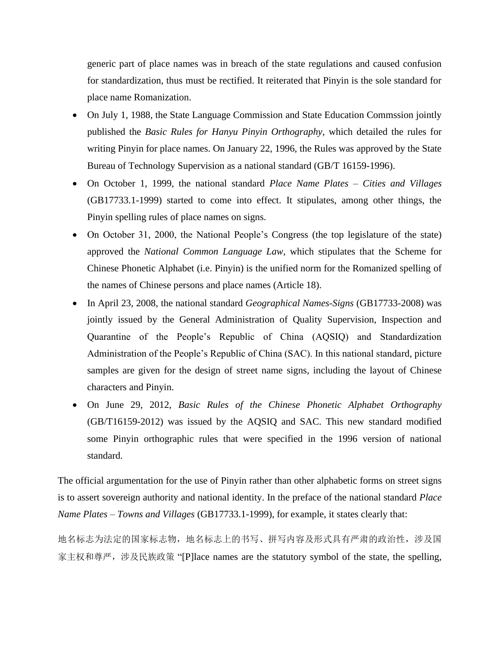generic part of place names was in breach of the state regulations and caused confusion for standardization, thus must be rectified. It reiterated that Pinyin is the sole standard for place name Romanization.

- On July 1, 1988, the State Language Commission and State Education Commssion jointly published the *Basic Rules for Hanyu Pinyin Orthography*, which detailed the rules for writing Pinyin for place names. On January 22, 1996, the Rules was approved by the State Bureau of Technology Supervision as a national standard (GB/T 16159-1996).
- On October 1, 1999, the national standard *Place Name Plates – Cities and Villages* (GB17733.1-1999) started to come into effect. It stipulates, among other things, the Pinyin spelling rules of place names on signs.
- On October 31, 2000, the National People's Congress (the top legislature of the state) approved the *National Common Language Law*, which stipulates that the Scheme for Chinese Phonetic Alphabet (i.e. Pinyin) is the unified norm for the Romanized spelling of the names of Chinese persons and place names (Article 18).
- In April 23, 2008, the national standard *Geographical Names-Signs* (GB17733-2008) was jointly issued by the General Administration of Quality Supervision, Inspection and Quarantine of the People's Republic of China (AQSIQ) and Standardization Administration of the People's Republic of China (SAC). In this national standard, picture samples are given for the design of street name signs, including the layout of Chinese characters and Pinyin.
- On June 29, 2012, *Basic Rules of the Chinese Phonetic Alphabet Orthography* (GB/T16159-2012) was issued by the AQSIQ and SAC. This new standard modified some Pinyin orthographic rules that were specified in the 1996 version of national standard.

The official argumentation for the use of Pinyin rather than other alphabetic forms on street signs is to assert sovereign authority and national identity. In the preface of the national standard *Place Name Plates – Towns and Villages* (GB17733.1-1999), for example, it states clearly that:

地名标志为法定的国家标志物,地名标志上的书写、拼写内容及形式具有严肃的政治性,涉及国 家主权和尊严,涉及民族政策 "[P]lace names are the statutory symbol of the state, the spelling,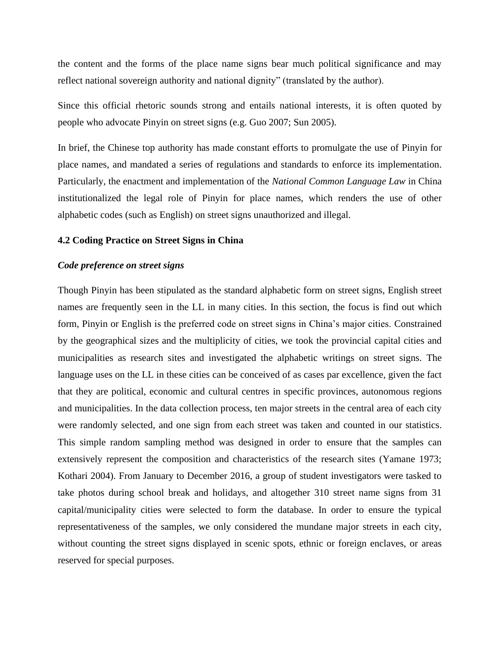the content and the forms of the place name signs bear much political significance and may reflect national sovereign authority and national dignity" (translated by the author).

Since this official rhetoric sounds strong and entails national interests, it is often quoted by people who advocate Pinyin on street signs (e.g. Guo 2007; Sun 2005).

In brief, the Chinese top authority has made constant efforts to promulgate the use of Pinyin for place names, and mandated a series of regulations and standards to enforce its implementation. Particularly, the enactment and implementation of the *National Common Language Law* in China institutionalized the legal role of Pinyin for place names, which renders the use of other alphabetic codes (such as English) on street signs unauthorized and illegal.

# **4.2 Coding Practice on Street Signs in China**

#### *Code preference on street signs*

Though Pinyin has been stipulated as the standard alphabetic form on street signs, English street names are frequently seen in the LL in many cities. In this section, the focus is find out which form, Pinyin or English is the preferred code on street signs in China's major cities. Constrained by the geographical sizes and the multiplicity of cities, we took the provincial capital cities and municipalities as research sites and investigated the alphabetic writings on street signs. The language uses on the LL in these cities can be conceived of as cases par excellence, given the fact that they are political, economic and cultural centres in specific provinces, autonomous regions and municipalities. In the data collection process, ten major streets in the central area of each city were randomly selected, and one sign from each street was taken and counted in our statistics. This simple random sampling method was designed in order to ensure that the samples can extensively represent the composition and characteristics of the research sites (Yamane 1973; Kothari 2004). From January to December 2016, a group of student investigators were tasked to take photos during school break and holidays, and altogether 310 street name signs from 31 capital/municipality cities were selected to form the database. In order to ensure the typical representativeness of the samples, we only considered the mundane major streets in each city, without counting the street signs displayed in scenic spots, ethnic or foreign enclaves, or areas reserved for special purposes.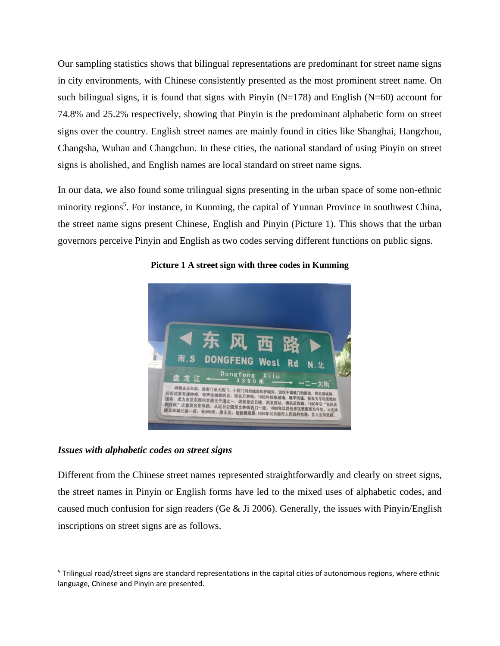Our sampling statistics shows that bilingual representations are predominant for street name signs in city environments, with Chinese consistently presented as the most prominent street name. On such bilingual signs, it is found that signs with Pinyin  $(N=178)$  and English  $(N=60)$  account for 74.8% and 25.2% respectively, showing that Pinyin is the predominant alphabetic form on street signs over the country. English street names are mainly found in cities like Shanghai, Hangzhou, Changsha, Wuhan and Changchun. In these cities, the national standard of using Pinyin on street signs is abolished, and English names are local standard on street name signs.

In our data, we also found some trilingual signs presenting in the urban space of some non-ethnic minority regions<sup>5</sup>. For instance, in Kunming, the capital of Yunnan Province in southwest China, the street name signs present Chinese, English and Pinyin (Picture 1). This shows that the urban governors perceive Pinyin and English as two codes serving different functions on public signs.



# **Picture 1 A street sign with three codes in Kunming**

# *Issues with alphabetic codes on street signs*

Different from the Chinese street names represented straightforwardly and clearly on street signs, the street names in Pinyin or English forms have led to the mixed uses of alphabetic codes, and caused much confusion for sign readers (Ge & Ji 2006). Generally, the issues with Pinyin/English inscriptions on street signs are as follows.

 $5$  Trilingual road/street signs are standard representations in the capital cities of autonomous regions, where ethnic language, Chinese and Pinyin are presented.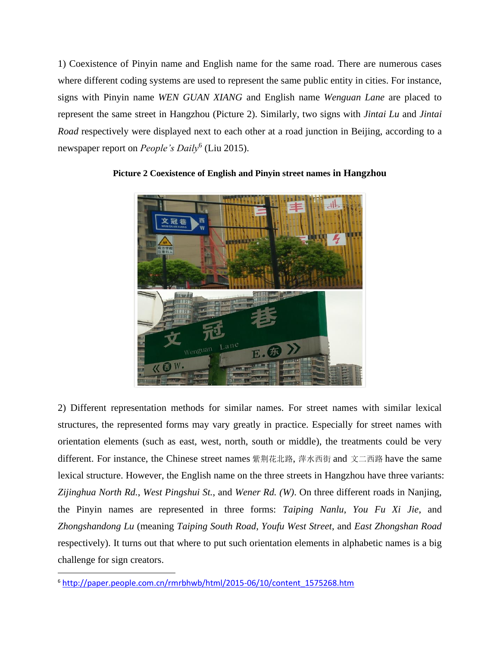1) Coexistence of Pinyin name and English name for the same road. There are numerous cases where different coding systems are used to represent the same public entity in cities. For instance, signs with Pinyin name *WEN GUAN XIANG* and English name *Wenguan Lane* are placed to represent the same street in Hangzhou (Picture 2). Similarly, two signs with *Jintai Lu* and *Jintai Road* respectively were displayed next to each other at a road junction in Beijing, according to a newspaper report on *People's Daily*<sup>6</sup> (Liu 2015).



# **Picture 2 Coexistence of English and Pinyin street names in Hangzhou**

2) Different representation methods for similar names. For street names with similar lexical structures, the represented forms may vary greatly in practice. Especially for street names with orientation elements (such as east, west, north, south or middle), the treatments could be very different. For instance, the Chinese street names 紫荆花北路, 萍水西街 and 文二西路 have the same lexical structure. However, the English name on the three streets in Hangzhou have three variants: *Zijinghua North Rd.*, *West Pingshui St.*, and *Wener Rd. (W)*. On three different roads in Nanjing, the Pinyin names are represented in three forms: *Taiping Nanlu*, *You Fu Xi Jie*, and *Zhongshandong Lu* (meaning *Taiping South Road*, *Youfu West Street*, and *East Zhongshan Road* respectively). It turns out that where to put such orientation elements in alphabetic names is a big challenge for sign creators.

<sup>6</sup> [http://paper.people.com.cn/rmrbhwb/html/2015-06/10/content\\_1575268.htm](http://paper.people.com.cn/rmrbhwb/html/2015-06/10/content_1575268.htm)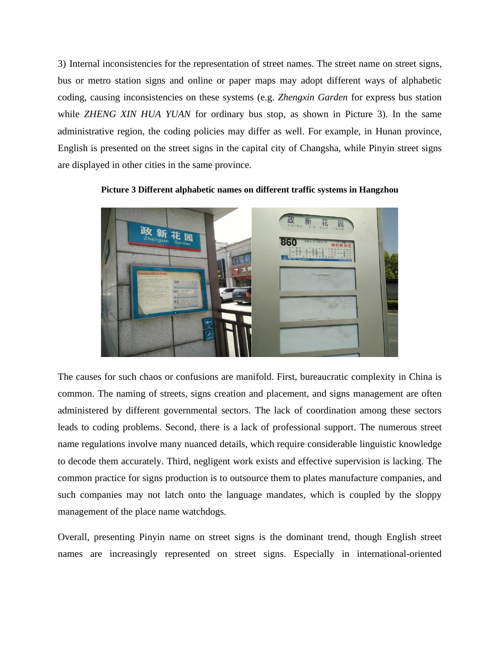3) Internal inconsistencies for the representation of street names. The street name on street signs, bus or metro station signs and online or paper maps may adopt different ways of alphabetic coding, causing inconsistencies on these systems (e.g. *Zhengxin Garden* for express bus station while *ZHENG XIN HUA YUAN* for ordinary bus stop, as shown in Picture 3). In the same administrative region, the coding policies may differ as well. For example, in Hunan province, English is presented on the street signs in the capital city of Changsha, while Pinyin street signs are displayed in other cities in the same province.

**Picture 3 Different alphabetic names on different traffic systems in Hangzhou**



The causes for such chaos or confusions are manifold. First, bureaucratic complexity in China is common. The naming of streets, signs creation and placement, and signs management are often administered by different governmental sectors. The lack of coordination among these sectors leads to coding problems. Second, there is a lack of professional support. The numerous street name regulations involve many nuanced details, which require considerable linguistic knowledge to decode them accurately. Third, negligent work exists and effective supervision is lacking. The common practice for signs production is to outsource them to plates manufacture companies, and such companies may not latch onto the language mandates, which is coupled by the sloppy management of the place name watchdogs.

Overall, presenting Pinyin name on street signs is the dominant trend, though English street names are increasingly represented on street signs. Especially in international-oriented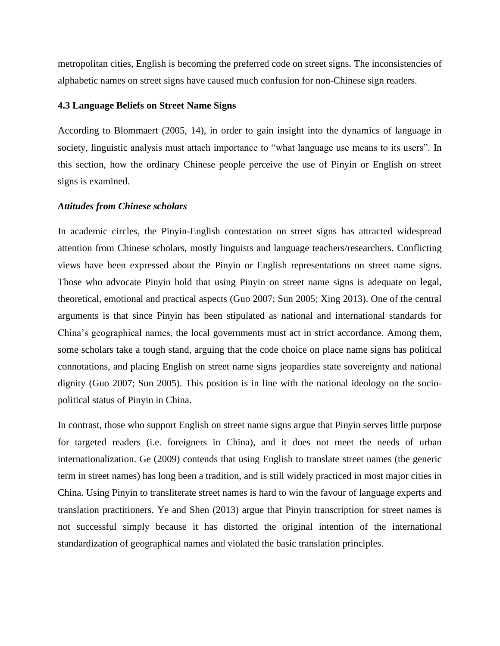metropolitan cities, English is becoming the preferred code on street signs. The inconsistencies of alphabetic names on street signs have caused much confusion for non-Chinese sign readers.

# **4.3 Language Beliefs on Street Name Signs**

According to Blommaert (2005, 14), in order to gain insight into the dynamics of language in society, linguistic analysis must attach importance to "what language use means to its users". In this section, how the ordinary Chinese people perceive the use of Pinyin or English on street signs is examined.

#### *Attitudes from Chinese scholars*

In academic circles, the Pinyin-English contestation on street signs has attracted widespread attention from Chinese scholars, mostly linguists and language teachers/researchers. Conflicting views have been expressed about the Pinyin or English representations on street name signs. Those who advocate Pinyin hold that using Pinyin on street name signs is adequate on legal, theoretical, emotional and practical aspects (Guo 2007; Sun 2005; Xing 2013). One of the central arguments is that since Pinyin has been stipulated as national and international standards for China's geographical names, the local governments must act in strict accordance. Among them, some scholars take a tough stand, arguing that the code choice on place name signs has political connotations, and placing English on street name signs jeopardies state sovereignty and national dignity (Guo 2007; Sun 2005). This position is in line with the national ideology on the sociopolitical status of Pinyin in China.

In contrast, those who support English on street name signs argue that Pinyin serves little purpose for targeted readers (i.e. foreigners in China), and it does not meet the needs of urban internationalization. Ge (2009) contends that using English to translate street names (the generic term in street names) has long been a tradition, and is still widely practiced in most major cities in China. Using Pinyin to transliterate street names is hard to win the favour of language experts and translation practitioners. Ye and Shen (2013) argue that Pinyin transcription for street names is not successful simply because it has distorted the original intention of the international standardization of geographical names and violated the basic translation principles.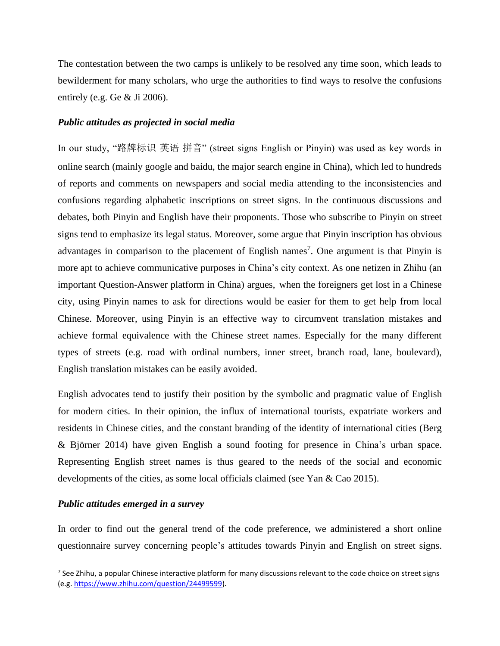The contestation between the two camps is unlikely to be resolved any time soon, which leads to bewilderment for many scholars, who urge the authorities to find ways to resolve the confusions entirely (e.g. Ge & Ji 2006).

# *Public attitudes as projected in social media*

In our study, "路牌标识 英语 拼音" (street signs English or Pinyin) was used as key words in online search (mainly google and baidu, the major search engine in China), which led to hundreds of reports and comments on newspapers and social media attending to the inconsistencies and confusions regarding alphabetic inscriptions on street signs. In the continuous discussions and debates, both Pinyin and English have their proponents. Those who subscribe to Pinyin on street signs tend to emphasize its legal status. Moreover, some argue that Pinyin inscription has obvious advantages in comparison to the placement of English names<sup>7</sup>. One argument is that Pinyin is more apt to achieve communicative purposes in China's city context. As one netizen in Zhihu (an important Question-Answer platform in China) argues, when the foreigners get lost in a Chinese city, using Pinyin names to ask for directions would be easier for them to get help from local Chinese. Moreover, using Pinyin is an effective way to circumvent translation mistakes and achieve formal equivalence with the Chinese street names. Especially for the many different types of streets (e.g. road with ordinal numbers, inner street, branch road, lane, boulevard), English translation mistakes can be easily avoided.

English advocates tend to justify their position by the symbolic and pragmatic value of English for modern cities. In their opinion, the influx of international tourists, expatriate workers and residents in Chinese cities, and the constant branding of the identity of international cities (Berg & Björner 2014) have given English a sound footing for presence in China's urban space. Representing English street names is thus geared to the needs of the social and economic developments of the cities, as some local officials claimed (see Yan & Cao 2015).

# *Public attitudes emerged in a survey*

In order to find out the general trend of the code preference, we administered a short online questionnaire survey concerning people's attitudes towards Pinyin and English on street signs.

<sup>&</sup>lt;sup>7</sup> See Zhihu, a popular Chinese interactive platform for many discussions relevant to the code choice on street signs (e.g. [https://www.zhihu.com/question/24499599\)](https://www.zhihu.com/question/24499599).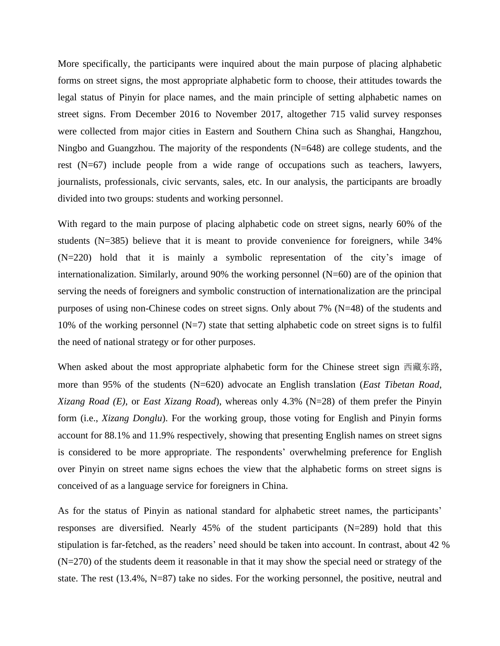More specifically, the participants were inquired about the main purpose of placing alphabetic forms on street signs, the most appropriate alphabetic form to choose, their attitudes towards the legal status of Pinyin for place names, and the main principle of setting alphabetic names on street signs. From December 2016 to November 2017, altogether 715 valid survey responses were collected from major cities in Eastern and Southern China such as Shanghai, Hangzhou, Ningbo and Guangzhou. The majority of the respondents (N=648) are college students, and the rest (N=67) include people from a wide range of occupations such as teachers, lawyers, journalists, professionals, civic servants, sales, etc. In our analysis, the participants are broadly divided into two groups: students and working personnel.

With regard to the main purpose of placing alphabetic code on street signs, nearly 60% of the students (N=385) believe that it is meant to provide convenience for foreigners, while 34% (N=220) hold that it is mainly a symbolic representation of the city's image of internationalization. Similarly, around 90% the working personnel (N=60) are of the opinion that serving the needs of foreigners and symbolic construction of internationalization are the principal purposes of using non-Chinese codes on street signs. Only about 7% (N=48) of the students and 10% of the working personnel  $(N=7)$  state that setting alphabetic code on street signs is to fulfil the need of national strategy or for other purposes.

When asked about the most appropriate alphabetic form for the Chinese street sign 西藏东路, more than 95% of the students (N=620) advocate an English translation (*East Tibetan Road*, *Xizang Road (E)*, or *East Xizang Road*), whereas only 4.3% (N=28) of them prefer the Pinyin form (i.e., *Xizang Donglu*). For the working group, those voting for English and Pinyin forms account for 88.1% and 11.9% respectively, showing that presenting English names on street signs is considered to be more appropriate. The respondents' overwhelming preference for English over Pinyin on street name signs echoes the view that the alphabetic forms on street signs is conceived of as a language service for foreigners in China.

As for the status of Pinyin as national standard for alphabetic street names, the participants' responses are diversified. Nearly 45% of the student participants (N=289) hold that this stipulation is far-fetched, as the readers' need should be taken into account. In contrast, about 42 % (N=270) of the students deem it reasonable in that it may show the special need or strategy of the state. The rest (13.4%, N=87) take no sides. For the working personnel, the positive, neutral and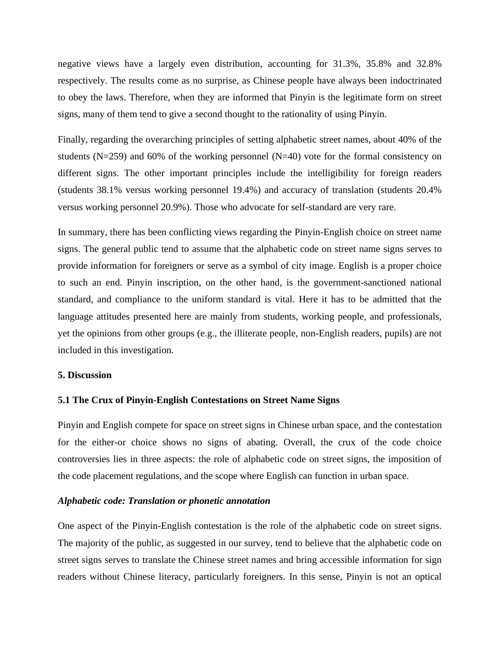negative views have a largely even distribution, accounting for 31.3%, 35.8% and 32.8% respectively. The results come as no surprise, as Chinese people have always been indoctrinated to obey the laws. Therefore, when they are informed that Pinyin is the legitimate form on street signs, many of them tend to give a second thought to the rationality of using Pinyin.

Finally, regarding the overarching principles of setting alphabetic street names, about 40% of the students ( $N=259$ ) and 60% of the working personnel ( $N=40$ ) vote for the formal consistency on different signs. The other important principles include the intelligibility for foreign readers (students 38.1% versus working personnel 19.4%) and accuracy of translation (students 20.4% versus working personnel 20.9%). Those who advocate for self-standard are very rare.

In summary, there has been conflicting views regarding the Pinyin-English choice on street name signs. The general public tend to assume that the alphabetic code on street name signs serves to provide information for foreigners or serve as a symbol of city image. English is a proper choice to such an end. Pinyin inscription, on the other hand, is the government-sanctioned national standard, and compliance to the uniform standard is vital. Here it has to be admitted that the language attitudes presented here are mainly from students, working people, and professionals, yet the opinions from other groups (e.g., the illiterate people, non-English readers, pupils) are not included in this investigation.

#### **5. Discussion**

# **5.1 The Crux of Pinyin-English Contestations on Street Name Signs**

Pinyin and English compete for space on street signs in Chinese urban space, and the contestation for the either-or choice shows no signs of abating. Overall, the crux of the code choice controversies lies in three aspects: the role of alphabetic code on street signs, the imposition of the code placement regulations, and the scope where English can function in urban space.

#### *Alphabetic code: Translation or phonetic annotation*

One aspect of the Pinyin-English contestation is the role of the alphabetic code on street signs. The majority of the public, as suggested in our survey, tend to believe that the alphabetic code on street signs serves to translate the Chinese street names and bring accessible information for sign readers without Chinese literacy, particularly foreigners. In this sense, Pinyin is not an optical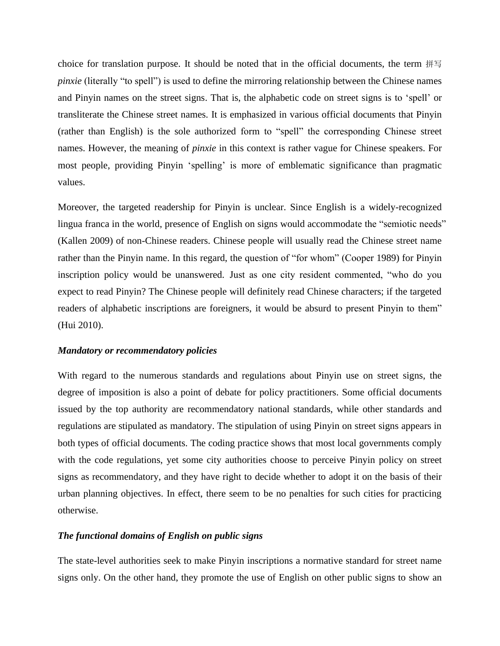choice for translation purpose. It should be noted that in the official documents, the term 拼写 *pinxie* (literally "to spell") is used to define the mirroring relationship between the Chinese names and Pinyin names on the street signs. That is, the alphabetic code on street signs is to 'spell' or transliterate the Chinese street names. It is emphasized in various official documents that Pinyin (rather than English) is the sole authorized form to "spell" the corresponding Chinese street names. However, the meaning of *pinxie* in this context is rather vague for Chinese speakers. For most people, providing Pinyin 'spelling' is more of emblematic significance than pragmatic values.

Moreover, the targeted readership for Pinyin is unclear. Since English is a widely-recognized lingua franca in the world, presence of English on signs would accommodate the "semiotic needs" (Kallen 2009) of non-Chinese readers. Chinese people will usually read the Chinese street name rather than the Pinyin name. In this regard, the question of "for whom" (Cooper 1989) for Pinyin inscription policy would be unanswered. Just as one city resident commented, "who do you expect to read Pinyin? The Chinese people will definitely read Chinese characters; if the targeted readers of alphabetic inscriptions are foreigners, it would be absurd to present Pinyin to them" (Hui 2010).

# *Mandatory or recommendatory policies*

With regard to the numerous standards and regulations about Pinyin use on street signs, the degree of imposition is also a point of debate for policy practitioners. Some official documents issued by the top authority are recommendatory national standards, while other standards and regulations are stipulated as mandatory. The stipulation of using Pinyin on street signs appears in both types of official documents. The coding practice shows that most local governments comply with the code regulations, yet some city authorities choose to perceive Pinyin policy on street signs as recommendatory, and they have right to decide whether to adopt it on the basis of their urban planning objectives. In effect, there seem to be no penalties for such cities for practicing otherwise.

# *The functional domains of English on public signs*

The state-level authorities seek to make Pinyin inscriptions a normative standard for street name signs only. On the other hand, they promote the use of English on other public signs to show an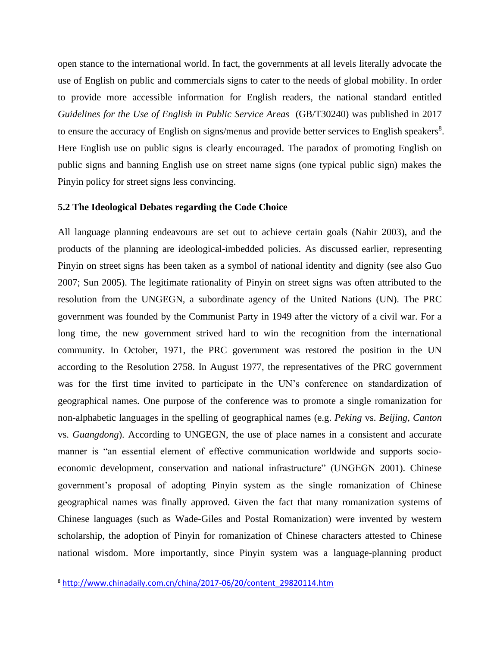open stance to the international world. In fact, the governments at all levels literally advocate the use of English on public and commercials signs to cater to the needs of global mobility. In order to provide more accessible information for English readers, the national standard entitled *Guidelines for the Use of English in Public Service Areas* (GB/T30240) was published in 2017 to ensure the accuracy of English on signs/menus and provide better services to English speakers<sup>8</sup>. Here English use on public signs is clearly encouraged. The paradox of promoting English on public signs and banning English use on street name signs (one typical public sign) makes the Pinyin policy for street signs less convincing.

# **5.2 The Ideological Debates regarding the Code Choice**

All language planning endeavours are set out to achieve certain goals (Nahir 2003), and the products of the planning are ideological-imbedded policies. As discussed earlier, representing Pinyin on street signs has been taken as a symbol of national identity and dignity (see also Guo 2007; Sun 2005). The legitimate rationality of Pinyin on street signs was often attributed to the resolution from the UNGEGN, a subordinate agency of the United Nations (UN). The PRC government was founded by the Communist Party in 1949 after the victory of a civil war. For a long time, the new government strived hard to win the recognition from the international community. In October, 1971, the PRC government was restored the position in the UN according to the Resolution 2758. In August 1977, the representatives of the PRC government was for the first time invited to participate in the UN's conference on standardization of geographical names. One purpose of the conference was to promote a single romanization for non-alphabetic languages in the spelling of geographical names (e.g. *Peking* vs. *Beijing*, *Canton* vs. *Guangdong*). According to UNGEGN, the use of place names in a consistent and accurate manner is "an essential element of effective communication worldwide and supports socioeconomic development, conservation and national infrastructure" (UNGEGN 2001). Chinese government's proposal of adopting Pinyin system as the single romanization of Chinese geographical names was finally approved. Given the fact that many romanization systems of Chinese languages (such as Wade-Giles and Postal Romanization) were invented by western scholarship, the adoption of Pinyin for romanization of Chinese characters attested to Chinese national wisdom. More importantly, since Pinyin system was a language-planning product

<sup>8</sup> [http://www.chinadaily.com.cn/china/2017-06/20/content\\_29820114.htm](http://www.chinadaily.com.cn/china/2017-06/20/content_29820114.htm)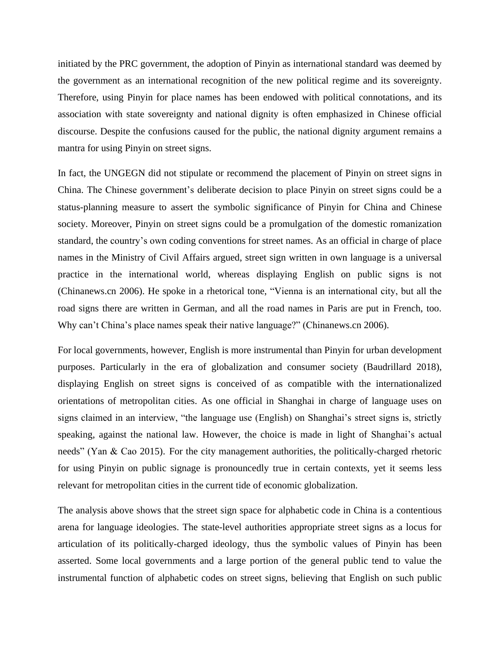initiated by the PRC government, the adoption of Pinyin as international standard was deemed by the government as an international recognition of the new political regime and its sovereignty. Therefore, using Pinyin for place names has been endowed with political connotations, and its association with state sovereignty and national dignity is often emphasized in Chinese official discourse. Despite the confusions caused for the public, the national dignity argument remains a mantra for using Pinyin on street signs.

In fact, the UNGEGN did not stipulate or recommend the placement of Pinyin on street signs in China. The Chinese government's deliberate decision to place Pinyin on street signs could be a status-planning measure to assert the symbolic significance of Pinyin for China and Chinese society. Moreover, Pinyin on street signs could be a promulgation of the domestic romanization standard, the country's own coding conventions for street names. As an official in charge of place names in the Ministry of Civil Affairs argued, street sign written in own language is a universal practice in the international world, whereas displaying English on public signs is not (Chinanews.cn 2006). He spoke in a rhetorical tone, "Vienna is an international city, but all the road signs there are written in German, and all the road names in Paris are put in French, too. Why can't China's place names speak their native language?" (Chinanews.cn 2006).

For local governments, however, English is more instrumental than Pinyin for urban development purposes. Particularly in the era of globalization and consumer society (Baudrillard 2018), displaying English on street signs is conceived of as compatible with the internationalized orientations of metropolitan cities. As one official in Shanghai in charge of language uses on signs claimed in an interview, "the language use (English) on Shanghai's street signs is, strictly speaking, against the national law. However, the choice is made in light of Shanghai's actual needs" (Yan & Cao 2015). For the city management authorities, the politically-charged rhetoric for using Pinyin on public signage is pronouncedly true in certain contexts, yet it seems less relevant for metropolitan cities in the current tide of economic globalization.

The analysis above shows that the street sign space for alphabetic code in China is a contentious arena for language ideologies. The state-level authorities appropriate street signs as a locus for articulation of its politically-charged ideology, thus the symbolic values of Pinyin has been asserted. Some local governments and a large portion of the general public tend to value the instrumental function of alphabetic codes on street signs, believing that English on such public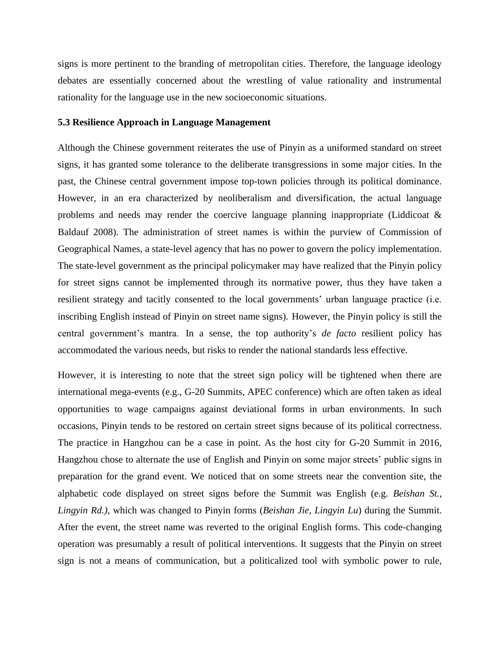signs is more pertinent to the branding of metropolitan cities. Therefore, the language ideology debates are essentially concerned about the wrestling of value rationality and instrumental rationality for the language use in the new socioeconomic situations.

#### **5.3 Resilience Approach in Language Management**

Although the Chinese government reiterates the use of Pinyin as a uniformed standard on street signs, it has granted some tolerance to the deliberate transgressions in some major cities. In the past, the Chinese central government impose top-town policies through its political dominance. However, in an era characterized by neoliberalism and diversification, the actual language problems and needs may render the coercive language planning inappropriate (Liddicoat & Baldauf 2008). The administration of street names is within the purview of Commission of Geographical Names, a state-level agency that has no power to govern the policy implementation. The state-level government as the principal policymaker may have realized that the Pinyin policy for street signs cannot be implemented through its normative power, thus they have taken a resilient strategy and tacitly consented to the local governments' urban language practice (i.e. inscribing English instead of Pinyin on street name signs). However, the Pinyin policy is still the central government's mantra. In a sense, the top authority's *de facto* resilient policy has accommodated the various needs, but risks to render the national standards less effective.

However, it is interesting to note that the street sign policy will be tightened when there are international mega-events (e.g., G-20 Summits, APEC conference) which are often taken as ideal opportunities to wage campaigns against deviational forms in urban environments. In such occasions, Pinyin tends to be restored on certain street signs because of its political correctness. The practice in Hangzhou can be a case in point. As the host city for G-20 Summit in 2016, Hangzhou chose to alternate the use of English and Pinyin on some major streets' public signs in preparation for the grand event. We noticed that on some streets near the convention site, the alphabetic code displayed on street signs before the Summit was English (e.g. *Beishan St.*, *Lingyin Rd.)*, which was changed to Pinyin forms (*Beishan Jie, Lingyin Lu*) during the Summit. After the event, the street name was reverted to the original English forms. This code-changing operation was presumably a result of political interventions. It suggests that the Pinyin on street sign is not a means of communication, but a politicalized tool with symbolic power to rule,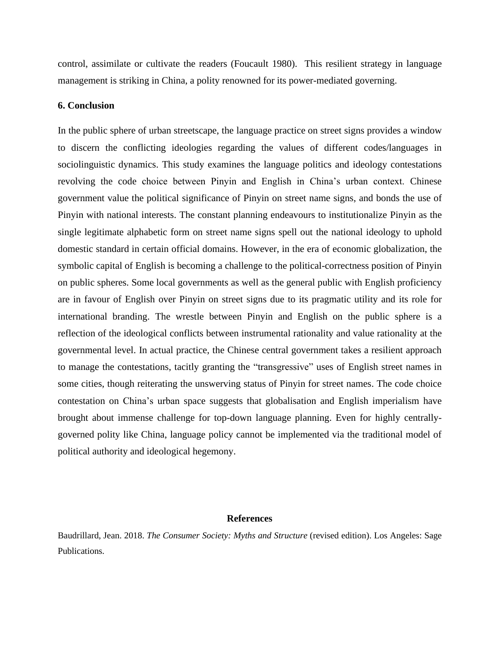control, assimilate or cultivate the readers (Foucault 1980). This resilient strategy in language management is striking in China, a polity renowned for its power-mediated governing.

# **6. Conclusion**

In the public sphere of urban streetscape, the language practice on street signs provides a window to discern the conflicting ideologies regarding the values of different codes/languages in sociolinguistic dynamics. This study examines the language politics and ideology contestations revolving the code choice between Pinyin and English in China's urban context. Chinese government value the political significance of Pinyin on street name signs, and bonds the use of Pinyin with national interests. The constant planning endeavours to institutionalize Pinyin as the single legitimate alphabetic form on street name signs spell out the national ideology to uphold domestic standard in certain official domains. However, in the era of economic globalization, the symbolic capital of English is becoming a challenge to the political-correctness position of Pinyin on public spheres. Some local governments as well as the general public with English proficiency are in favour of English over Pinyin on street signs due to its pragmatic utility and its role for international branding. The wrestle between Pinyin and English on the public sphere is a reflection of the ideological conflicts between instrumental rationality and value rationality at the governmental level. In actual practice, the Chinese central government takes a resilient approach to manage the contestations, tacitly granting the "transgressive" uses of English street names in some cities, though reiterating the unswerving status of Pinyin for street names. The code choice contestation on China's urban space suggests that globalisation and English imperialism have brought about immense challenge for top-down language planning. Even for highly centrallygoverned polity like China, language policy cannot be implemented via the traditional model of political authority and ideological hegemony.

#### **References**

Baudrillard, Jean. 2018. *The Consumer Society: Myths and Structure* (revised edition). Los Angeles: Sage Publications.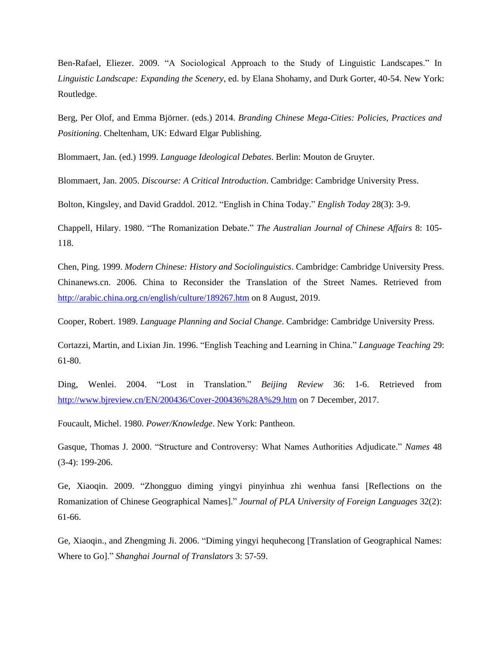Ben-Rafael, Eliezer. 2009. "A Sociological Approach to the Study of Linguistic Landscapes." In *Linguistic Landscape: Expanding the Scenery*, ed. by Elana Shohamy, and Durk Gorter, 40-54. New York: Routledge.

Berg, Per Olof, and Emma Björner. (eds.) 2014. *Branding Chinese Mega-Cities: Policies, Practices and Positioning*. Cheltenham, UK: Edward Elgar Publishing.

Blommaert, Jan. (ed.) 1999. *Language Ideological Debates*. Berlin: Mouton de Gruyter.

Blommaert, Jan. 2005. *Discourse: A Critical Introduction*. Cambridge: Cambridge University Press.

Bolton, Kingsley, and David Graddol. 2012. "English in China Today." *English Today* 28(3): 3-9.

Chappell, Hilary. 1980. "The Romanization Debate." *The Australian Journal of Chinese Affairs* 8: 105- 118.

Chen, Ping. 1999. *Modern Chinese: History and Sociolinguistics*. Cambridge: Cambridge University Press. Chinanews.cn. 2006. China to Reconsider the Translation of the Street Names. Retrieved from <http://arabic.china.org.cn/english/culture/189267.htm> on 8 August, 2019.

Cooper, Robert. 1989. *Language Planning and Social Change*. Cambridge: Cambridge University Press.

Cortazzi, Martin, and Lixian Jin. 1996. "English Teaching and Learning in China." *Language Teaching* 29: 61-80.

Ding, Wenlei. 2004. "Lost in Translation." *Beijing Review* 36: 1-6. Retrieved from <http://www.bjreview.cn/EN/200436/Cover-200436%28A%29.htm> on 7 December, 2017.

Foucault, Michel. 1980. *Power/Knowledge*. New York: Pantheon.

Gasque, Thomas J. 2000. "Structure and Controversy: What Names Authorities Adjudicate." *Names* 48 (3-4): 199-206.

Ge, Xiaoqin. 2009. "Zhongguo diming yingyi pinyinhua zhi wenhua fansi [Reflections on the Romanization of Chinese Geographical Names]." *Journal of PLA University of Foreign Languages* 32(2): 61-66.

Ge, Xiaoqin., and Zhengming Ji. 2006. "Diming yingyi hequhecong [Translation of Geographical Names: Where to Go]." *Shanghai Journal of Translators* 3: 57-59.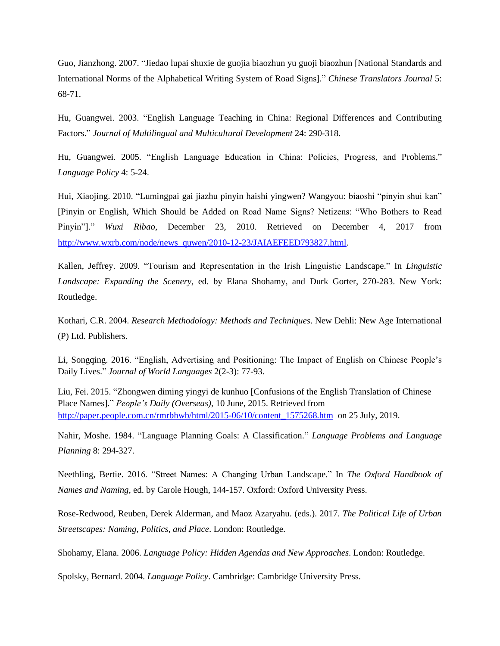Guo, Jianzhong. 2007. "Jiedao lupai shuxie de guojia biaozhun yu guoji biaozhun [National Standards and International Norms of the Alphabetical Writing System of Road Signs]." *Chinese Translators Journal* 5: 68-71.

Hu, Guangwei. 2003. "English Language Teaching in China: Regional Differences and Contributing Factors." *Journal of Multilingual and Multicultural Development* 24: 290-318.

Hu, Guangwei. 2005. "English Language Education in China: Policies, Progress, and Problems." *Language Policy* 4: 5-24.

Hui, Xiaojing. 2010. "Lumingpai gai jiazhu pinyin haishi yingwen? Wangyou: biaoshi "pinyin shui kan" [Pinyin or English, Which Should be Added on Road Name Signs? Netizens: "Who Bothers to Read Pinyin"]." *Wuxi Ribao*, December 23, 2010. Retrieved on December 4, 2017 from [http://www.wxrb.com/node/news\\_quwen/2010-12-23/JAIAEFEED793827.html.](http://www.wxrb.com/node/news_quwen/2010-12-23/JAIAEFEED793827.html)

Kallen, Jeffrey. 2009. "Tourism and Representation in the Irish Linguistic Landscape." In *Linguistic Landscape: Expanding the Scenery*, ed. by Elana Shohamy, and Durk Gorter, 270-283. New York: Routledge.

Kothari, C.R. 2004. *Research Methodology: Methods and Techniques*. New Dehli: New Age International (P) Ltd. Publishers.

Li, Songqing. 2016. "English, Advertising and Positioning: The Impact of English on Chinese People's Daily Lives." *Journal of World Languages* 2(2-3): 77-93.

Liu, Fei. 2015. "Zhongwen diming yingyi de kunhuo [Confusions of the English Translation of Chinese Place Names]." *People's Daily (Overseas)*, 10 June, 2015. Retrieved from [http://paper.people.com.cn/rmrbhwb/html/2015-06/10/content\\_1575268.htm](http://paper.people.com.cn/rmrbhwb/html/2015-06/10/content_1575268.htm) on 25 July, 2019.

Nahir, Moshe. 1984. "Language Planning Goals: A Classification." *Language Problems and Language Planning* 8: 294-327.

Neethling, Bertie. 2016. "Street Names: A Changing Urban Landscape." In *The Oxford Handbook of Names and Naming*, ed. by Carole Hough, 144-157. Oxford: Oxford University Press.

Rose-Redwood, Reuben, Derek Alderman, and Maoz Azaryahu. (eds.). 2017. *The Political Life of Urban Streetscapes: Naming, Politics, and Place*. London: Routledge.

Shohamy, Elana. 2006. *Language Policy: Hidden Agendas and New Approaches*. London: Routledge.

Spolsky, Bernard. 2004. *Language Policy*. Cambridge: Cambridge University Press.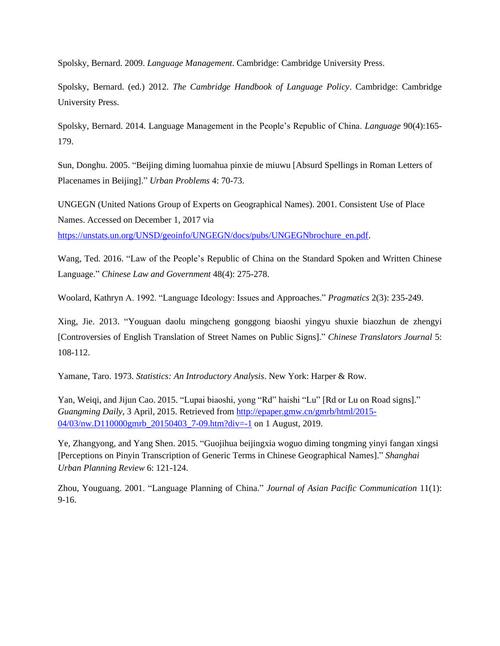Spolsky, Bernard. 2009. *Language Management*. Cambridge: Cambridge University Press.

Spolsky, Bernard. (ed.) 2012. *The Cambridge Handbook of Language Policy*. Cambridge: Cambridge University Press.

Spolsky, Bernard. 2014. Language Management in the People's Republic of China. *Language* 90(4):165- 179.

Sun, Donghu. 2005. "Beijing diming luomahua pinxie de miuwu [Absurd Spellings in Roman Letters of Placenames in Beijing]." *Urban Problems* 4: 70-73.

UNGEGN (United Nations Group of Experts on Geographical Names). 2001. Consistent Use of Place Names. Accessed on December 1, 2017 via

[https://unstats.un.org/UNSD/geoinfo/UNGEGN/docs/pubs/UNGEGNbrochure\\_en.pdf.](https://unstats.un.org/UNSD/geoinfo/UNGEGN/docs/pubs/UNGEGNbrochure_en.pdf)

Wang, Ted. 2016. "Law of the People's Republic of China on the Standard Spoken and Written Chinese Language." *Chinese Law and Government* 48(4): 275-278.

Woolard, Kathryn A. 1992. "Language Ideology: Issues and Approaches." *Pragmatics* 2(3): 235-249.

Xing, Jie. 2013. "Youguan daolu mingcheng gonggong biaoshi yingyu shuxie biaozhun de zhengyi [Controversies of English Translation of Street Names on Public Signs]." *Chinese Translators Journal* 5: 108-112.

Yamane, Taro. 1973. *Statistics: An Introductory Analysis*. New York: Harper & Row.

Yan, Weiqi, and Jijun Cao. 2015. "Lupai biaoshi, yong "Rd" haishi "Lu" [Rd or Lu on Road signs]." *Guangming Daily*, 3 April, 2015. Retrieved from [http://epaper.gmw.cn/gmrb/html/2015-](http://epaper.gmw.cn/gmrb/html/2015-04/03/nw.D110000gmrb_20150403_7-09.htm?div=-1) [04/03/nw.D110000gmrb\\_20150403\\_7-09.htm?div=-1](http://epaper.gmw.cn/gmrb/html/2015-04/03/nw.D110000gmrb_20150403_7-09.htm?div=-1) on 1 August, 2019.

Ye, Zhangyong, and Yang Shen. 2015. "Guojihua beijingxia woguo diming tongming yinyi fangan xingsi [Perceptions on Pinyin Transcription of Generic Terms in Chinese Geographical Names]." *Shanghai Urban Planning Review* 6: 121-124.

Zhou, Youguang. 2001. "Language Planning of China." *Journal of Asian Pacific Communication* 11(1): 9-16.